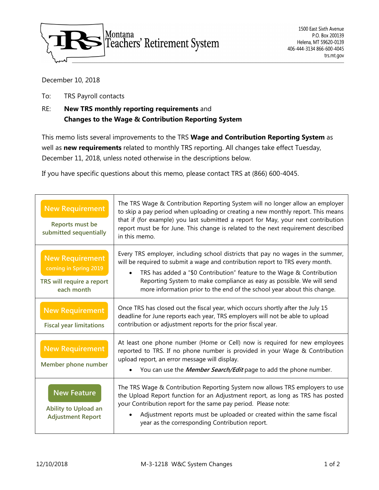

## December 10, 2018

To: TRS Payroll contacts

## RE: **New TRS monthly reporting requirements** and **Changes to the Wage & Contribution Reporting System**

This memo lists several improvements to the TRS **Wage and Contribution Reporting System** as well as **new requirements** related to monthly TRS reporting. All changes take effect Tuesday, December 11, 2018, unless noted otherwise in the descriptions below.

If you have specific questions about this memo, please contact TRS at (866) 600-4045.

| <b>New Requirement</b><br>Reports must be<br>submitted sequentially                        | The TRS Wage & Contribution Reporting System will no longer allow an employer<br>to skip a pay period when uploading or creating a new monthly report. This means<br>that if (for example) you last submitted a report for May, your next contribution<br>report must be for June. This change is related to the next requirement described<br>in this memo.                                               |
|--------------------------------------------------------------------------------------------|------------------------------------------------------------------------------------------------------------------------------------------------------------------------------------------------------------------------------------------------------------------------------------------------------------------------------------------------------------------------------------------------------------|
| <b>New Requirement</b><br>coming in Spring 2019<br>TRS will require a report<br>each month | Every TRS employer, including school districts that pay no wages in the summer,<br>will be required to submit a wage and contribution report to TRS every month.<br>TRS has added a "\$0 Contribution" feature to the Wage & Contribution<br>$\bullet$<br>Reporting System to make compliance as easy as possible. We will send<br>more information prior to the end of the school year about this change. |
| <b>New Requirement</b><br><b>Fiscal year limitations</b>                                   | Once TRS has closed out the fiscal year, which occurs shortly after the July 15<br>deadline for June reports each year, TRS employers will not be able to upload<br>contribution or adjustment reports for the prior fiscal year.                                                                                                                                                                          |
| <b>New Requirement</b><br>Member phone number                                              | At least one phone number (Home or Cell) now is required for new employees<br>reported to TRS. If no phone number is provided in your Wage & Contribution<br>upload report, an error message will display.<br>You can use the <i>Member Search/Edit</i> page to add the phone number.                                                                                                                      |
| <b>New Feature</b><br>Ability to Upload an<br><b>Adjustment Report</b>                     | The TRS Wage & Contribution Reporting System now allows TRS employers to use<br>the Upload Report function for an Adjustment report, as long as TRS has posted<br>your Contribution report for the same pay period. Please note:<br>Adjustment reports must be uploaded or created within the same fiscal<br>year as the corresponding Contribution report.                                                |